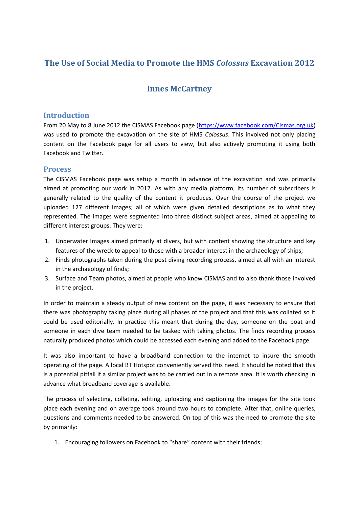# **The Use of Social Media to Promote the HMS** *Colossus* **Excavation 2012**

# **Innes McCartney**

## **Introduction**

From 20 May to 8 June 2012 the CISMAS Facebook page [\(https://www.facebook.com/Cismas.org.uk\)](https://www.facebook.com/Cismas.org.uk) was used to promote the excavation on the site of HMS *Colossus*. This involved not only placing content on the Facebook page for all users to view, but also actively promoting it using both Facebook and Twitter.

#### **Process**

The CISMAS Facebook page was setup a month in advance of the excavation and was primarily aimed at promoting our work in 2012. As with any media platform, its number of subscribers is generally related to the quality of the content it produces. Over the course of the project we uploaded 127 different images; all of which were given detailed descriptions as to what they represented. The images were segmented into three distinct subject areas, aimed at appealing to different interest groups. They were:

- 1. Underwater Images aimed primarily at divers, but with content showing the structure and key features of the wreck to appeal to those with a broader interest in the archaeology of ships;
- 2. Finds photographs taken during the post diving recording process, aimed at all with an interest in the archaeology of finds;
- 3. Surface and Team photos, aimed at people who know CISMAS and to also thank those involved in the project.

In order to maintain a steady output of new content on the page, it was necessary to ensure that there was photography taking place during all phases of the project and that this was collated so it could be used editorially. In practice this meant that during the day, someone on the boat and someone in each dive team needed to be tasked with taking photos. The finds recording process naturally produced photos which could be accessed each evening and added to the Facebook page.

It was also important to have a broadband connection to the internet to insure the smooth operating of the page. A local BT Hotspot conveniently served this need. It should be noted that this is a potential pitfall if a similar project was to be carried out in a remote area. It is worth checking in advance what broadband coverage is available.

The process of selecting, collating, editing, uploading and captioning the images for the site took place each evening and on average took around two hours to complete. After that, online queries, questions and comments needed to be answered. On top of this was the need to promote the site by primarily:

1. Encouraging followers on Facebook to "share" content with their friends;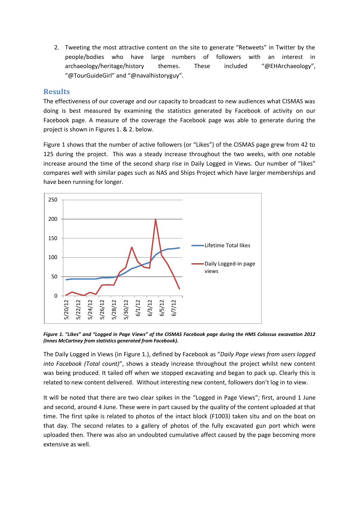2. Tweeting the most attractive content on the site to generate "Retweets" in Twitter by the people/bodies who have large numbers of followers with an interest in archaeology/heritage/history themes. These included "@EHArchaeology", "@TourGuideGirl" and "@navalhistoryguy".

#### **Results**

The effectiveness of our coverage and our capacity to broadcast to new audiences what CISMAS was doing is best measured by examining the statistics generated by Facebook of activity on our Facebook page. A measure of the coverage the Facebook page was able to generate during the project is shown in Figures 1. & 2. below.

Figure 1 shows that the number of active followers (or "Likes") of the CISMAS page grew from 42 to 125 during the project. This was a steady increase throughout the two weeks, with one notable increase around the time of the second sharp rise in Daily Logged in Views. Our number of "likes" compares well with similar pages such as NAS and Ships Project which have larger memberships and have been running for longer.



*Figure 1. "Likes" and "Logged in Page Views" of the CISMAS Facebook page during the HMS Colossus excavation 2012 (Innes McCartney from statistics generated from Facebook).*

The Daily Logged in Views (in Figure 1.), defined by Facebook as "*Daily Page views from users logged into Facebook (Total count)*", shows a steady increase throughout the project whilst new content was being produced. It tailed off when we stopped excavating and began to pack up. Clearly this is related to new content delivered. Without interesting new content, followers don't log in to view.

It will be noted that there are two clear spikes in the "Logged in Page Views"; first, around 1 June and second, around 4 June. These were in part caused by the quality of the content uploaded at that time. The first spike is related to photos of the intact block (F1003) taken situ and on the boat on that day. The second relates to a gallery of photos of the fully excavated gun port which were uploaded then. There was also an undoubted cumulative affect caused by the page becoming more extensive as well.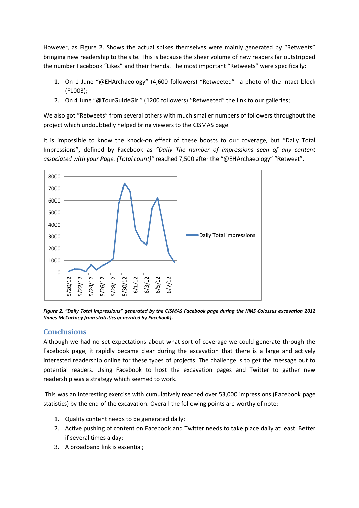However, as Figure 2. Shows the actual spikes themselves were mainly generated by "Retweets" bringing new readership to the site. This is because the sheer volume of new readers far outstripped the number Facebook "Likes" and their friends. The most important "Retweets" were specifically:

- 1. On 1 June "@EHArchaeology" (4,600 followers) "Retweeted" a photo of the intact block (F1003);
- 2. On 4 June "@TourGuideGirl" (1200 followers) "Retweeted" the link to our galleries;

We also got "Retweets" from several others with much smaller numbers of followers throughout the project which undoubtedly helped bring viewers to the CISMAS page.

It is impossible to know the knock-on effect of these boosts to our coverage, but "Daily Total Impressions", defined by Facebook as *"Daily The number of impressions seen of any content associated with your Page. (Total count)"* reached 7,500 after the "@EHArchaeology" "Retweet".



*Figure 2. "Daily Total Impressions" generated by the CISMAS Facebook page during the HMS Colossus excavation 2012 (Innes McCartney from statistics generated by Facebook).*

## **Conclusions**

Although we had no set expectations about what sort of coverage we could generate through the Facebook page, it rapidly became clear during the excavation that there is a large and actively interested readership online for these types of projects. The challenge is to get the message out to potential readers. Using Facebook to host the excavation pages and Twitter to gather new readership was a strategy which seemed to work.

This was an interesting exercise with cumulatively reached over 53,000 impressions (Facebook page statistics) by the end of the excavation. Overall the following points are worthy of note:

- 1. Quality content needs to be generated daily;
- 2. Active pushing of content on Facebook and Twitter needs to take place daily at least. Better if several times a day;
- 3. A broadband link is essential;